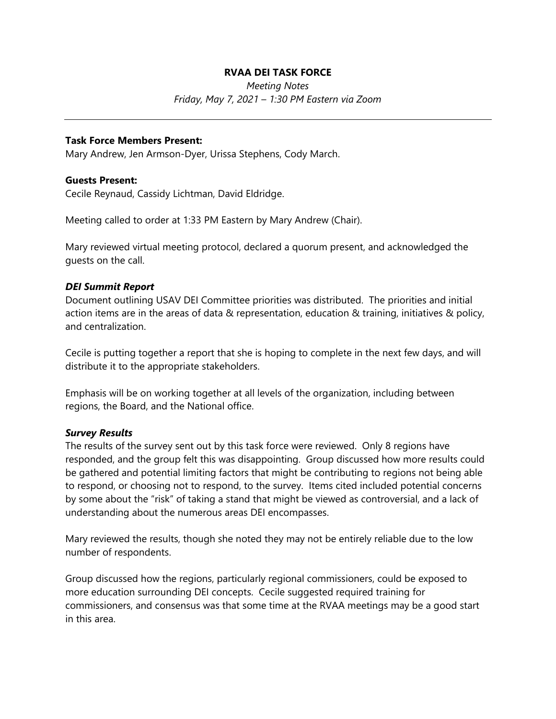# **RVAA DEI TASK FORCE**

*Meeting Notes Friday, May 7, 2021 – 1:30 PM Eastern via Zoom*

### **Task Force Members Present:**

Mary Andrew, Jen Armson-Dyer, Urissa Stephens, Cody March.

#### **Guests Present:**

Cecile Reynaud, Cassidy Lichtman, David Eldridge.

Meeting called to order at 1:33 PM Eastern by Mary Andrew (Chair).

Mary reviewed virtual meeting protocol, declared a quorum present, and acknowledged the guests on the call.

### *DEI Summit Report*

Document outlining USAV DEI Committee priorities was distributed. The priorities and initial action items are in the areas of data & representation, education & training, initiatives & policy, and centralization.

Cecile is putting together a report that she is hoping to complete in the next few days, and will distribute it to the appropriate stakeholders.

Emphasis will be on working together at all levels of the organization, including between regions, the Board, and the National office.

### *Survey Results*

The results of the survey sent out by this task force were reviewed. Only 8 regions have responded, and the group felt this was disappointing. Group discussed how more results could be gathered and potential limiting factors that might be contributing to regions not being able to respond, or choosing not to respond, to the survey. Items cited included potential concerns by some about the "risk" of taking a stand that might be viewed as controversial, and a lack of understanding about the numerous areas DEI encompasses.

Mary reviewed the results, though she noted they may not be entirely reliable due to the low number of respondents.

Group discussed how the regions, particularly regional commissioners, could be exposed to more education surrounding DEI concepts. Cecile suggested required training for commissioners, and consensus was that some time at the RVAA meetings may be a good start in this area.